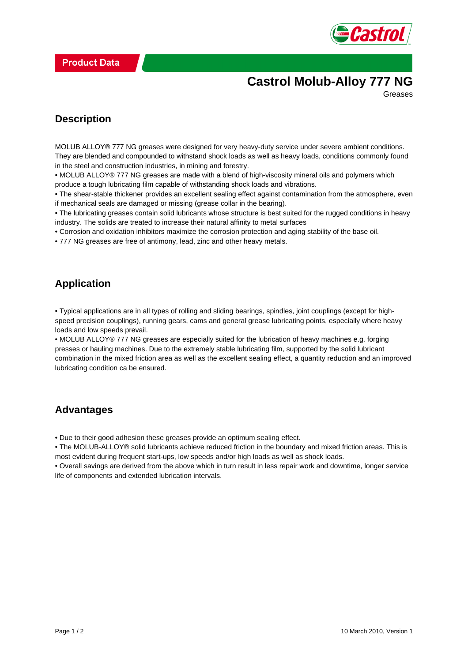

# **Castrol Molub-Alloy 777 NG**

Greases

#### **Description**

MOLUB ALLOY® 777 NG greases were designed for very heavy-duty service under severe ambient conditions. They are blended and compounded to withstand shock loads as well as heavy loads, conditions commonly found in the steel and construction industries, in mining and forestry.

• MOLUB ALLOY® 777 NG greases are made with a blend of high-viscosity mineral oils and polymers which produce a tough lubricating film capable of withstanding shock loads and vibrations.

• The shear-stable thickener provides an excellent sealing effect against contamination from the atmosphere, even if mechanical seals are damaged or missing (grease collar in the bearing).

• The lubricating greases contain solid lubricants whose structure is best suited for the rugged conditions in heavy industry. The solids are treated to increase their natural affinity to metal surfaces

• Corrosion and oxidation inhibitors maximize the corrosion protection and aging stability of the base oil.

• 777 NG greases are free of antimony, lead, zinc and other heavy metals.

#### **Application**

• Typical applications are in all types of rolling and sliding bearings, spindles, joint couplings (except for highspeed precision couplings), running gears, cams and general grease lubricating points, especially where heavy loads and low speeds prevail.

• MOLUB ALLOY® 777 NG greases are especially suited for the lubrication of heavy machines e.g. forging presses or hauling machines. Due to the extremely stable lubricating film, supported by the solid lubricant combination in the mixed friction area as well as the excellent sealing effect, a quantity reduction and an improved lubricating condition ca be ensured.

### **Advantages**

• Due to their good adhesion these greases provide an optimum sealing effect.

• The MOLUB-ALLOY® solid lubricants achieve reduced friction in the boundary and mixed friction areas. This is most evident during frequent start-ups, low speeds and/or high loads as well as shock loads.

• Overall savings are derived from the above which in turn result in less repair work and downtime, longer service life of components and extended lubrication intervals.